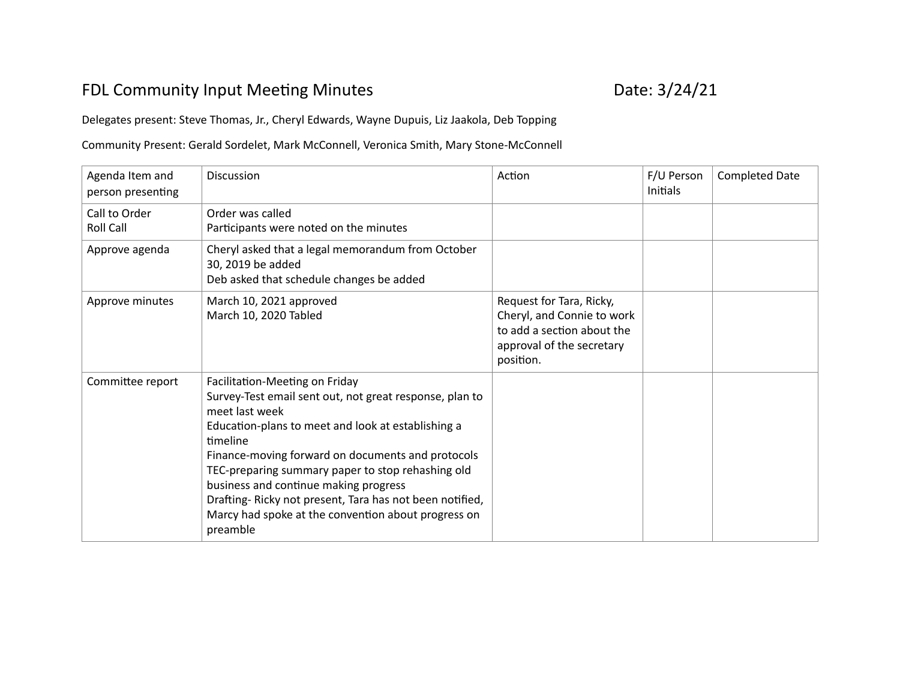## FDL Community Input Meeting Minutes **Date: 3/24/21**

Delegates present: Steve Thomas, Jr., Cheryl Edwards, Wayne Dupuis, Liz Jaakola, Deb Topping

Community Present: Gerald Sordelet, Mark McConnell, Veronica Smith, Mary Stone-McConnell

| Agenda Item and<br>person presenting | <b>Discussion</b>                                                                                                                                                                                                                                                                                                                                                                                                                                              | Action                                                                                                                         | F/U Person<br><b>Initials</b> | <b>Completed Date</b> |
|--------------------------------------|----------------------------------------------------------------------------------------------------------------------------------------------------------------------------------------------------------------------------------------------------------------------------------------------------------------------------------------------------------------------------------------------------------------------------------------------------------------|--------------------------------------------------------------------------------------------------------------------------------|-------------------------------|-----------------------|
| Call to Order<br><b>Roll Call</b>    | Order was called<br>Participants were noted on the minutes                                                                                                                                                                                                                                                                                                                                                                                                     |                                                                                                                                |                               |                       |
| Approve agenda                       | Cheryl asked that a legal memorandum from October<br>30, 2019 be added<br>Deb asked that schedule changes be added                                                                                                                                                                                                                                                                                                                                             |                                                                                                                                |                               |                       |
| Approve minutes                      | March 10, 2021 approved<br>March 10, 2020 Tabled                                                                                                                                                                                                                                                                                                                                                                                                               | Request for Tara, Ricky,<br>Cheryl, and Connie to work<br>to add a section about the<br>approval of the secretary<br>position. |                               |                       |
| Committee report                     | Facilitation-Meeting on Friday<br>Survey-Test email sent out, not great response, plan to<br>meet last week<br>Education-plans to meet and look at establishing a<br>timeline<br>Finance-moving forward on documents and protocols<br>TEC-preparing summary paper to stop rehashing old<br>business and continue making progress<br>Drafting-Ricky not present, Tara has not been notified,<br>Marcy had spoke at the convention about progress on<br>preamble |                                                                                                                                |                               |                       |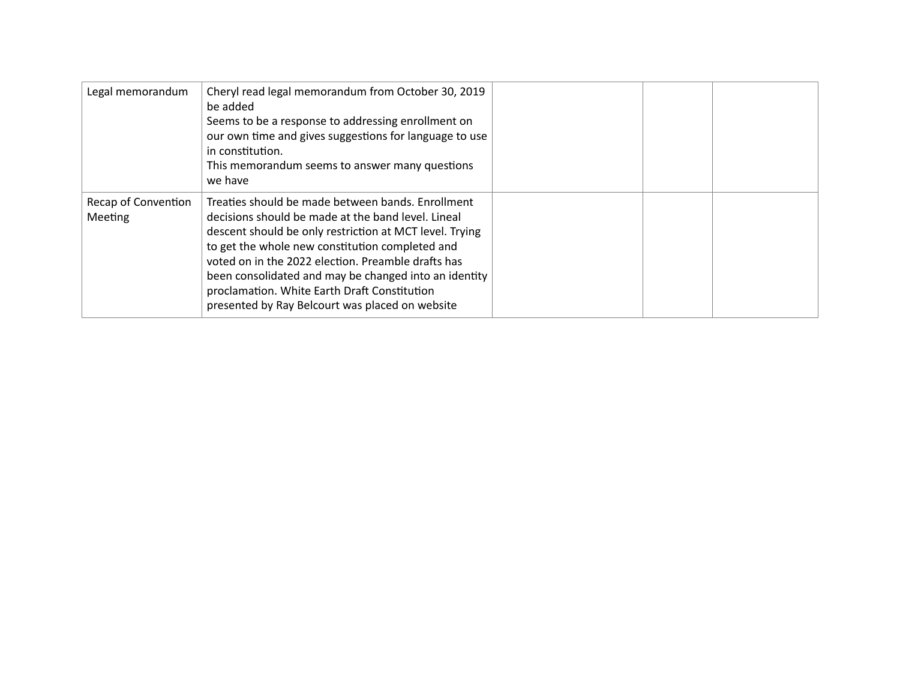| Legal memorandum               | Cheryl read legal memorandum from October 30, 2019<br>be added<br>Seems to be a response to addressing enrollment on<br>our own time and gives suggestions for language to use<br>in constitution.<br>This memorandum seems to answer many questions<br>we have                                                                                                                                                                         |  |  |
|--------------------------------|-----------------------------------------------------------------------------------------------------------------------------------------------------------------------------------------------------------------------------------------------------------------------------------------------------------------------------------------------------------------------------------------------------------------------------------------|--|--|
| Recap of Convention<br>Meeting | Treaties should be made between bands. Enrollment<br>decisions should be made at the band level. Lineal<br>descent should be only restriction at MCT level. Trying<br>to get the whole new constitution completed and<br>voted on in the 2022 election. Preamble drafts has<br>been consolidated and may be changed into an identity<br>proclamation. White Earth Draft Constitution<br>presented by Ray Belcourt was placed on website |  |  |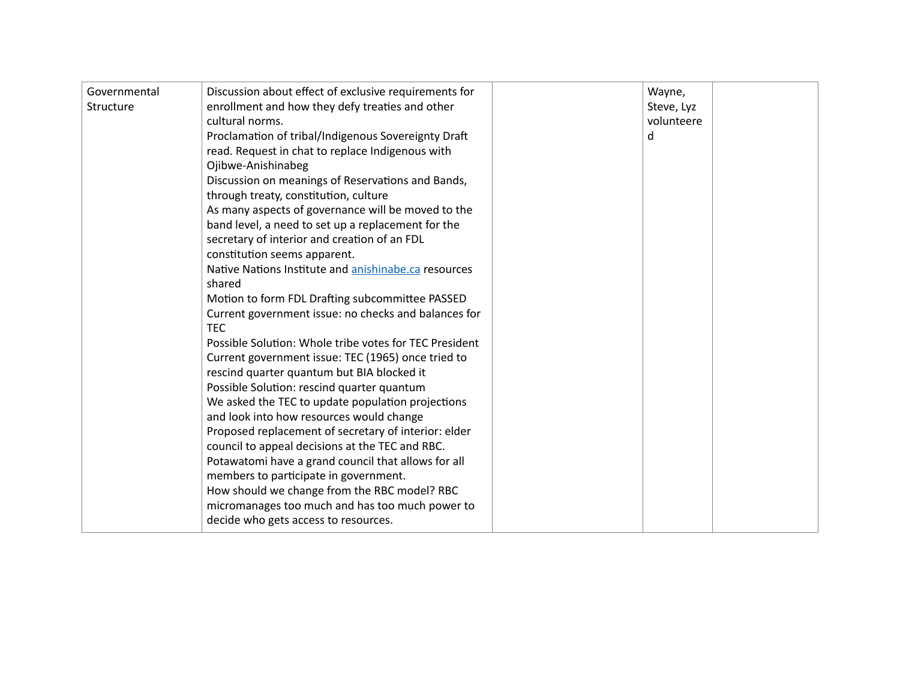| Governmental<br>Structure | Discussion about effect of exclusive requirements for<br>enrollment and how they defy treaties and other<br>cultural norms.<br>Proclamation of tribal/Indigenous Sovereignty Draft<br>read. Request in chat to replace Indigenous with<br>Ojibwe-Anishinabeg<br>Discussion on meanings of Reservations and Bands,<br>through treaty, constitution, culture<br>As many aspects of governance will be moved to the<br>band level, a need to set up a replacement for the<br>secretary of interior and creation of an FDL<br>constitution seems apparent.<br>Native Nations Institute and anishinabe.ca resources<br>shared<br>Motion to form FDL Drafting subcommittee PASSED<br>Current government issue: no checks and balances for<br><b>TEC</b><br>Possible Solution: Whole tribe votes for TEC President<br>Current government issue: TEC (1965) once tried to<br>rescind quarter quantum but BIA blocked it<br>Possible Solution: rescind quarter quantum<br>We asked the TEC to update population projections<br>and look into how resources would change<br>Proposed replacement of secretary of interior: elder<br>council to appeal decisions at the TEC and RBC.<br>Potawatomi have a grand council that allows for all<br>members to participate in government. | Wayne,<br>Steve, Lyz<br>volunteere<br>d |  |
|---------------------------|---------------------------------------------------------------------------------------------------------------------------------------------------------------------------------------------------------------------------------------------------------------------------------------------------------------------------------------------------------------------------------------------------------------------------------------------------------------------------------------------------------------------------------------------------------------------------------------------------------------------------------------------------------------------------------------------------------------------------------------------------------------------------------------------------------------------------------------------------------------------------------------------------------------------------------------------------------------------------------------------------------------------------------------------------------------------------------------------------------------------------------------------------------------------------------------------------------------------------------------------------------------------------|-----------------------------------------|--|
|                           | How should we change from the RBC model? RBC<br>micromanages too much and has too much power to<br>decide who gets access to resources.                                                                                                                                                                                                                                                                                                                                                                                                                                                                                                                                                                                                                                                                                                                                                                                                                                                                                                                                                                                                                                                                                                                                   |                                         |  |